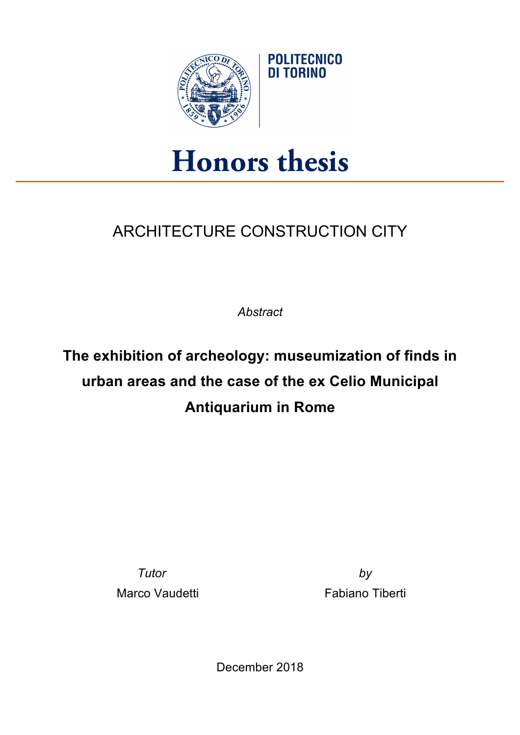

## **Honors thesis**

**POLITECNICO** DI TORINO

## ARCHITECTURE CONSTRUCTION CITY

*Abstract*

## **The exhibition of archeology: museumization of finds in urban areas and the case of the ex Celio Municipal Antiquarium in Rome**

*Tutor by* Marco Vaudetti **Exercise State Information** Fabiano Tiberti

December 2018